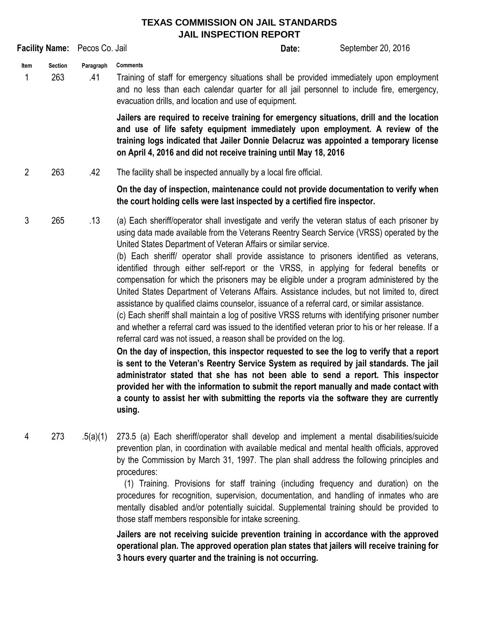## **TEXAS COMMISSION ON JAIL STANDARDS JAIL INSPECTION REPORT**

| Facility Name: Pecos Co. Jail |                       |                  |                                                                                                                                                                                                                                                                                                                                         | Date:                                                                                                                                                                                                                                                                                                                                                                                                                                                                                                                                                                                                                                                                                                                                                                                                                                                                                                                                                                                                                                                                                                                                                                                                                                                                                                                                                                                                                                                                                             | September 20, 2016 |
|-------------------------------|-----------------------|------------------|-----------------------------------------------------------------------------------------------------------------------------------------------------------------------------------------------------------------------------------------------------------------------------------------------------------------------------------------|---------------------------------------------------------------------------------------------------------------------------------------------------------------------------------------------------------------------------------------------------------------------------------------------------------------------------------------------------------------------------------------------------------------------------------------------------------------------------------------------------------------------------------------------------------------------------------------------------------------------------------------------------------------------------------------------------------------------------------------------------------------------------------------------------------------------------------------------------------------------------------------------------------------------------------------------------------------------------------------------------------------------------------------------------------------------------------------------------------------------------------------------------------------------------------------------------------------------------------------------------------------------------------------------------------------------------------------------------------------------------------------------------------------------------------------------------------------------------------------------------|--------------------|
| Item<br>1                     | <b>Section</b><br>263 | Paragraph<br>.41 | <b>Comments</b><br>Training of staff for emergency situations shall be provided immediately upon employment<br>and no less than each calendar quarter for all jail personnel to include fire, emergency,<br>evacuation drills, and location and use of equipment.                                                                       |                                                                                                                                                                                                                                                                                                                                                                                                                                                                                                                                                                                                                                                                                                                                                                                                                                                                                                                                                                                                                                                                                                                                                                                                                                                                                                                                                                                                                                                                                                   |                    |
|                               |                       |                  | Jailers are required to receive training for emergency situations, drill and the location<br>and use of life safety equipment immediately upon employment. A review of the<br>training logs indicated that Jailer Donnie Delacruz was appointed a temporary license<br>on April 4, 2016 and did not receive training until May 18, 2016 |                                                                                                                                                                                                                                                                                                                                                                                                                                                                                                                                                                                                                                                                                                                                                                                                                                                                                                                                                                                                                                                                                                                                                                                                                                                                                                                                                                                                                                                                                                   |                    |
| $\overline{2}$                | 263                   | .42              | The facility shall be inspected annually by a local fire official.                                                                                                                                                                                                                                                                      |                                                                                                                                                                                                                                                                                                                                                                                                                                                                                                                                                                                                                                                                                                                                                                                                                                                                                                                                                                                                                                                                                                                                                                                                                                                                                                                                                                                                                                                                                                   |                    |
|                               |                       |                  | On the day of inspection, maintenance could not provide documentation to verify when<br>the court holding cells were last inspected by a certified fire inspector.                                                                                                                                                                      |                                                                                                                                                                                                                                                                                                                                                                                                                                                                                                                                                                                                                                                                                                                                                                                                                                                                                                                                                                                                                                                                                                                                                                                                                                                                                                                                                                                                                                                                                                   |                    |
| 3                             | 265                   | .13              | using.                                                                                                                                                                                                                                                                                                                                  | (a) Each sheriff/operator shall investigate and verify the veteran status of each prisoner by<br>using data made available from the Veterans Reentry Search Service (VRSS) operated by the<br>United States Department of Veteran Affairs or similar service.<br>(b) Each sheriff/ operator shall provide assistance to prisoners identified as veterans,<br>identified through either self-report or the VRSS, in applying for federal benefits or<br>compensation for which the prisoners may be eligible under a program administered by the<br>United States Department of Veterans Affairs. Assistance includes, but not limited to, direct<br>assistance by qualified claims counselor, issuance of a referral card, or similar assistance.<br>(c) Each sheriff shall maintain a log of positive VRSS returns with identifying prisoner number<br>and whether a referral card was issued to the identified veteran prior to his or her release. If a<br>referral card was not issued, a reason shall be provided on the log.<br>On the day of inspection, this inspector requested to see the log to verify that a report<br>is sent to the Veteran's Reentry Service System as required by jail standards. The jail<br>administrator stated that she has not been able to send a report. This inspector<br>provided her with the information to submit the report manually and made contact with<br>a county to assist her with submitting the reports via the software they are currently |                    |

4 273 .5(a)(1) 273.5 (a) Each sheriff/operator shall develop and implement a mental disabilities/suicide prevention plan, in coordination with available medical and mental health officials, approved by the Commission by March 31, 1997. The plan shall address the following principles and procedures:

> (1) Training. Provisions for staff training (including frequency and duration) on the procedures for recognition, supervision, documentation, and handling of inmates who are mentally disabled and/or potentially suicidal. Supplemental training should be provided to those staff members responsible for intake screening.

> **Jailers are not receiving suicide prevention training in accordance with the approved operational plan. The approved operation plan states that jailers will receive training for 3 hours every quarter and the training is not occurring.**